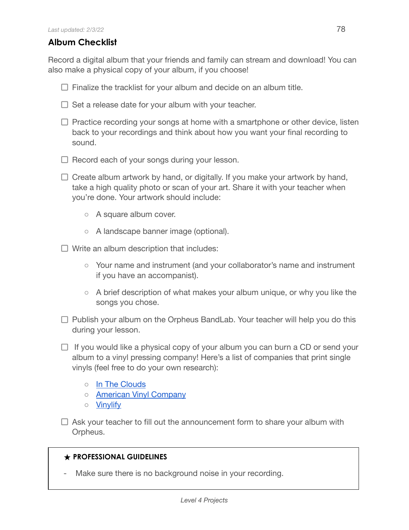## **Album Checklist**

Record a digital album that your friends and family can stream and download! You can also make a physical copy of your album, if you choose!

- $\Box$  Finalize the tracklist for your album and decide on an album title.
- $\Box$  Set a release date for your album with your teacher.
- $\Box$  Practice recording your songs at home with a smartphone or other device, listen back to your recordings and think about how you want your final recording to sound.
- $\Box$  Record each of your songs during your lesson.
- $\Box$  Create album artwork by hand, or digitally. If you make your artwork by hand, take a high quality photo or scan of your art. Share it with your teacher when you're done. Your artwork should include:
	- A square album cover.
	- A landscape banner image (optional).
- $\Box$  Write an album description that includes:
	- Your name and instrument (and your collaborator's name and instrument if you have an accompanist).
	- A brief description of what makes your album unique, or why you like the songs you chose.
- $\Box$  Publish your album on the Orpheus BandLab. Your teacher will help you do this during your lesson.
- $\Box$  If you would like a physical copy of your album you can burn a CD or send your album to a vinyl pressing company! Here's a list of companies that print single vinyls (feel free to do your own research):
	- In The [Clouds](https://intheclouds.io/collections/make-your-own-custom-vinyl-records/products/7-lathe-cut-vinyl-designer)
	- American Vinyl [Company](https://americanvinylco.com/)
	- [Vinylify](https://vinylify.com/)
- $\Box$  Ask your teacher to fill out the announcement form to share your album with Orpheus.

## **★ PROFESSIONAL GUIDELINES**

Make sure there is no background noise in your recording.